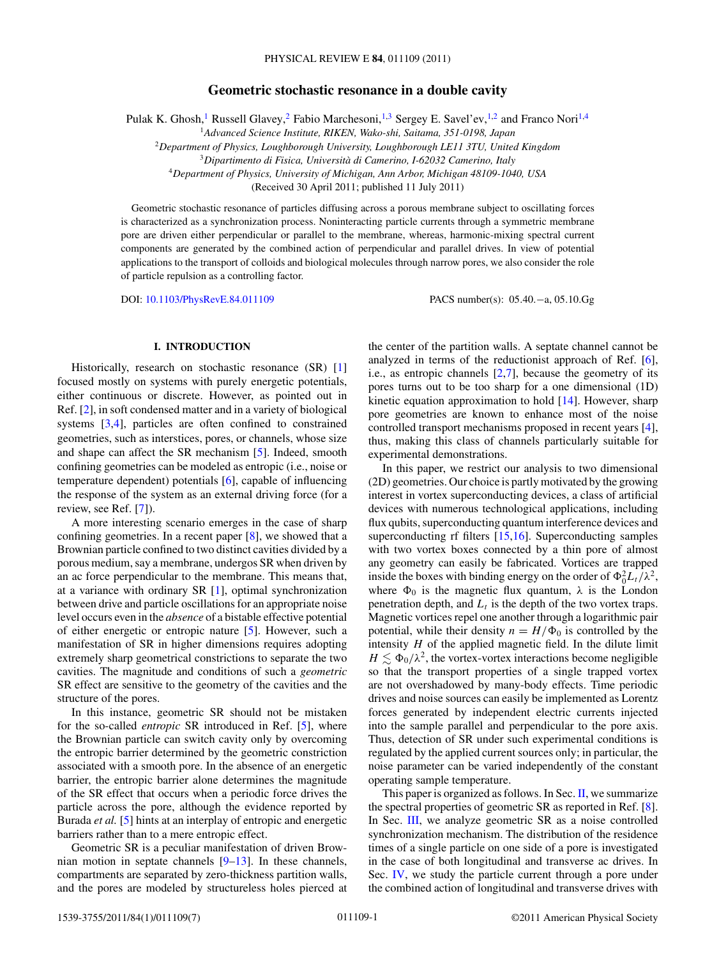# **Geometric stochastic resonance in a double cavity**

Pulak K. Ghosh,<sup>1</sup> Russell Glavey,<sup>2</sup> Fabio Marchesoni,<sup>1,3</sup> Sergey E. Savel'ev,<sup>1,2</sup> and Franco Nori<sup>1,4</sup>

<sup>1</sup>*Advanced Science Institute, RIKEN, Wako-shi, Saitama, 351-0198, Japan*

<sup>2</sup>*Department of Physics, Loughborough University, Loughborough LE11 3TU, United Kingdom*

<sup>3</sup>*Dipartimento di Fisica, Universita di Camerino, I-62032 Camerino, Italy `*

<sup>4</sup>*Department of Physics, University of Michigan, Ann Arbor, Michigan 48109-1040, USA*

(Received 30 April 2011; published 11 July 2011)

Geometric stochastic resonance of particles diffusing across a porous membrane subject to oscillating forces is characterized as a synchronization process. Noninteracting particle currents through a symmetric membrane pore are driven either perpendicular or parallel to the membrane, whereas, harmonic-mixing spectral current components are generated by the combined action of perpendicular and parallel drives. In view of potential applications to the transport of colloids and biological molecules through narrow pores, we also consider the role of particle repulsion as a controlling factor.

DOI: [10.1103/PhysRevE.84.011109](http://dx.doi.org/10.1103/PhysRevE.84.011109) PACS number(s): 05*.*40*.*−a, 05*.*10*.*Gg

## **I. INTRODUCTION**

Historically, research on stochastic resonance (SR) [\[1\]](#page-5-0) focused mostly on systems with purely energetic potentials, either continuous or discrete. However, as pointed out in Ref. [\[2\]](#page-5-0), in soft condensed matter and in a variety of biological systems [\[3,4\]](#page-5-0), particles are often confined to constrained geometries, such as interstices, pores, or channels, whose size and shape can affect the SR mechanism [\[5\]](#page-5-0). Indeed, smooth confining geometries can be modeled as entropic (i.e., noise or temperature dependent) potentials [\[6\]](#page-5-0), capable of influencing the response of the system as an external driving force (for a review, see Ref. [\[7\]](#page-5-0)).

A more interesting scenario emerges in the case of sharp confining geometries. In a recent paper  $[8]$ , we showed that a Brownian particle confined to two distinct cavities divided by a porous medium, say a membrane, undergos SR when driven by an ac force perpendicular to the membrane. This means that, at a variance with ordinary SR [\[1\]](#page-5-0), optimal synchronization between drive and particle oscillations for an appropriate noise level occurs even in the *absence* of a bistable effective potential of either energetic or entropic nature [\[5\]](#page-5-0). However, such a manifestation of SR in higher dimensions requires adopting extremely sharp geometrical constrictions to separate the two cavities. The magnitude and conditions of such a *geometric* SR effect are sensitive to the geometry of the cavities and the structure of the pores.

In this instance, geometric SR should not be mistaken for the so-called *entropic* SR introduced in Ref. [\[5\]](#page-5-0), where the Brownian particle can switch cavity only by overcoming the entropic barrier determined by the geometric constriction associated with a smooth pore. In the absence of an energetic barrier, the entropic barrier alone determines the magnitude of the SR effect that occurs when a periodic force drives the particle across the pore, although the evidence reported by Burada *et al.* [\[5\]](#page-5-0) hints at an interplay of entropic and energetic barriers rather than to a mere entropic effect.

Geometric SR is a peculiar manifestation of driven Brownian motion in septate channels [\[9–](#page-5-0)[13\]](#page-6-0). In these channels, compartments are separated by zero-thickness partition walls, and the pores are modeled by structureless holes pierced at the center of the partition walls. A septate channel cannot be analyzed in terms of the reductionist approach of Ref. [\[6\]](#page-5-0), i.e., as entropic channels  $[2,7]$ , because the geometry of its pores turns out to be too sharp for a one dimensional (1D) kinetic equation approximation to hold [\[14\]](#page-6-0). However, sharp pore geometries are known to enhance most of the noise controlled transport mechanisms proposed in recent years [\[4\]](#page-5-0), thus, making this class of channels particularly suitable for experimental demonstrations.

In this paper, we restrict our analysis to two dimensional (2D) geometries. Our choice is partly motivated by the growing interest in vortex superconducting devices, a class of artificial devices with numerous technological applications, including flux qubits, superconducting quantum interference devices and superconducting rf filters [\[15,16\]](#page-6-0). Superconducting samples with two vortex boxes connected by a thin pore of almost any geometry can easily be fabricated. Vortices are trapped inside the boxes with binding energy on the order of  $\Phi_0^2 L_t / \lambda^2$ , where  $\Phi_0$  is the magnetic flux quantum,  $\lambda$  is the London penetration depth, and  $L_t$  is the depth of the two vortex traps. Magnetic vortices repel one another through a logarithmic pair potential, while their density  $n = H/\Phi_0$  is controlled by the intensity *H* of the applied magnetic field. In the dilute limit  $H \lesssim \Phi_0/\lambda^2$ , the vortex-vortex interactions become negligible so that the transport properties of a single trapped vortex are not overshadowed by many-body effects. Time periodic drives and noise sources can easily be implemented as Lorentz forces generated by independent electric currents injected into the sample parallel and perpendicular to the pore axis. Thus, detection of SR under such experimental conditions is regulated by the applied current sources only; in particular, the noise parameter can be varied independently of the constant operating sample temperature.

This paper is organized as follows. In Sec. [II,](#page-1-0) we summarize the spectral properties of geometric SR as reported in Ref. [\[8\]](#page-5-0). In Sec. [III,](#page-2-0) we analyze geometric SR as a noise controlled synchronization mechanism. The distribution of the residence times of a single particle on one side of a pore is investigated in the case of both longitudinal and transverse ac drives. In Sec. [IV,](#page-3-0) we study the particle current through a pore under the combined action of longitudinal and transverse drives with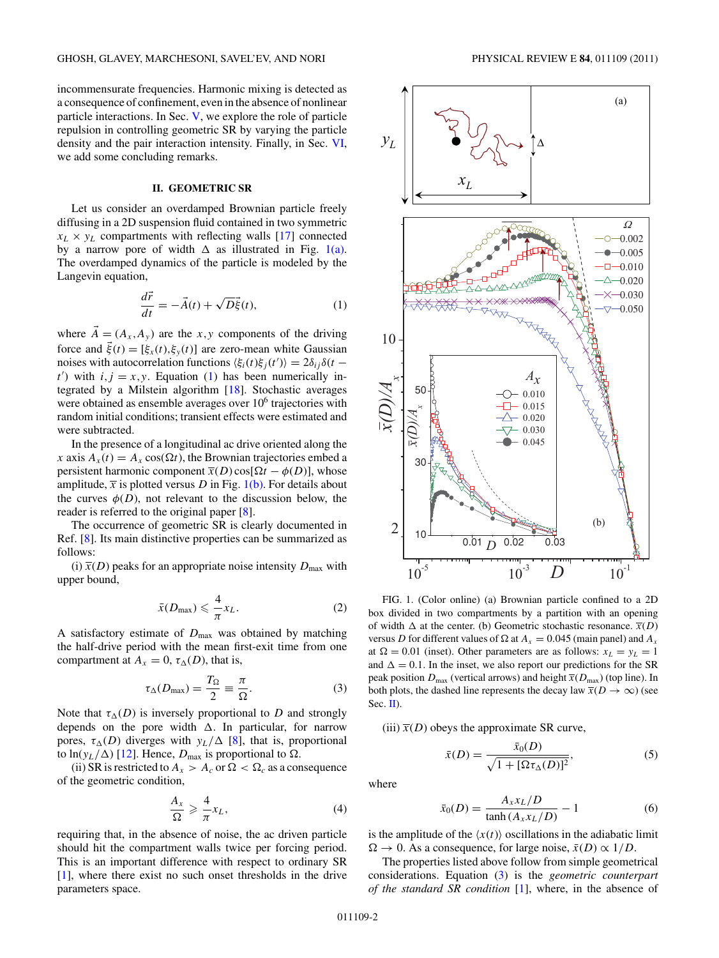<span id="page-1-0"></span>incommensurate frequencies. Harmonic mixing is detected as a consequence of confinement, even in the absence of nonlinear particle interactions. In Sec. [V,](#page-3-0) we explore the role of particle repulsion in controlling geometric SR by varying the particle density and the pair interaction intensity. Finally, in Sec. [VI,](#page-5-0) we add some concluding remarks.

## **II. GEOMETRIC SR**

Let us consider an overdamped Brownian particle freely diffusing in a 2D suspension fluid contained in two symmetric  $x_L \times y_L$  compartments with reflecting walls [\[17\]](#page-6-0) connected by a narrow pore of width  $\Delta$  as illustrated in Fig. 1(a). The overdamped dynamics of the particle is modeled by the Langevin equation,

$$
\frac{d\vec{r}}{dt} = -\vec{A}(t) + \sqrt{D}\vec{\xi}(t),\tag{1}
$$

where  $A = (A_x, A_y)$  are the *x*, *y* components of the driving force and  $\xi(t) = [\xi_x(t), \xi_y(t)]$  are zero-mean white Gaussian noises with autocorrelation functions  $\langle \xi_i(t) \xi_j(t') \rangle = 2\delta_{ij} \delta(t$ *t*<sup> $\prime$ </sup>) with *i*, *j* = *x*, *y*. Equation (1) has been numerically integrated by a Milstein algorithm [\[18\]](#page-6-0). Stochastic averages were obtained as ensemble averages over  $10<sup>6</sup>$  trajectories with random initial conditions; transient effects were estimated and were subtracted.

In the presence of a longitudinal ac drive oriented along the *x* axis  $A_x(t) = A_x \cos(\Omega t)$ , the Brownian trajectories embed a persistent harmonic component  $\overline{x}(D) \cos[\Omega t - \phi(D)]$ , whose amplitude,  $\bar{x}$  is plotted versus *D* in Fig. 1(b). For details about the curves  $\phi(D)$ , not relevant to the discussion below, the reader is referred to the original paper [\[8\]](#page-5-0).

The occurrence of geometric SR is clearly documented in Ref. [\[8\]](#page-5-0). Its main distinctive properties can be summarized as follows:

(i)  $\bar{x}(D)$  peaks for an appropriate noise intensity  $D_{\text{max}}$  with upper bound,

$$
\bar{x}(D_{\max}) \leqslant \frac{4}{\pi} x_L. \tag{2}
$$

A satisfactory estimate of  $D_{\text{max}}$  was obtained by matching the half-drive period with the mean first-exit time from one compartment at  $A_x = 0$ ,  $\tau_{\Lambda}(D)$ , that is,

$$
\tau_{\Delta}(D_{\text{max}}) = \frac{T_{\Omega}}{2} \equiv \frac{\pi}{\Omega}.
$$
 (3)

Note that  $\tau_{\Lambda}(D)$  is inversely proportional to *D* and strongly depends on the pore width  $\Delta$ . In particular, for narrow pores,  $\tau_{\Delta}(D)$  diverges with  $y_L/\Delta$  [\[8\]](#page-5-0), that is, proportional to  $\ln(y_L/\Delta)$  [\[12\]](#page-6-0). Hence,  $D_{\text{max}}$  is proportional to  $\Omega$ .

(ii) SR is restricted to  $A_x > A_c$  or  $\Omega < \Omega_c$  as a consequence of the geometric condition,

$$
\frac{A_x}{\Omega} \geqslant \frac{4}{\pi} x_L,\tag{4}
$$

requiring that, in the absence of noise, the ac driven particle should hit the compartment walls twice per forcing period. This is an important difference with respect to ordinary SR [\[1\]](#page-5-0), where there exist no such onset thresholds in the drive parameters space.



FIG. 1. (Color online) (a) Brownian particle confined to a 2D box divided in two compartments by a partition with an opening of width  $\Delta$  at the center. (b) Geometric stochastic resonance.  $\bar{x}(D)$ versus *D* for different values of  $\Omega$  at  $A_x = 0.045$  (main panel) and  $A_x$ at  $\Omega = 0.01$  (inset). Other parameters are as follows:  $x_L = y_L = 1$ and  $\Delta = 0.1$ . In the inset, we also report our predictions for the SR peak position  $D_{\text{max}}$  (vertical arrows) and height  $\bar{x}(D_{\text{max}})$  (top line). In both plots, the dashed line represents the decay law  $\overline{x}(D \to \infty)$  (see Sec. II).

(iii)  $\bar{x}(D)$  obeys the approximate SR curve,

$$
\bar{x}(D) = \frac{\bar{x}_0(D)}{\sqrt{1 + [\Omega \tau_\Delta(D)]^2}},\tag{5}
$$

where

$$
\bar{x}_0(D) = \frac{A_x x_L/D}{\tanh\left(A_x x_L/D\right)} - 1\tag{6}
$$

is the amplitude of the  $\langle x(t) \rangle$  oscillations in the adiabatic limit  $Ω → 0$ . As a consequence, for large noise,  $\bar{x}(D) \propto 1/D$ .

The properties listed above follow from simple geometrical considerations. Equation (3) is the *geometric counterpart of the standard SR condition* [\[1\]](#page-5-0), where, in the absence of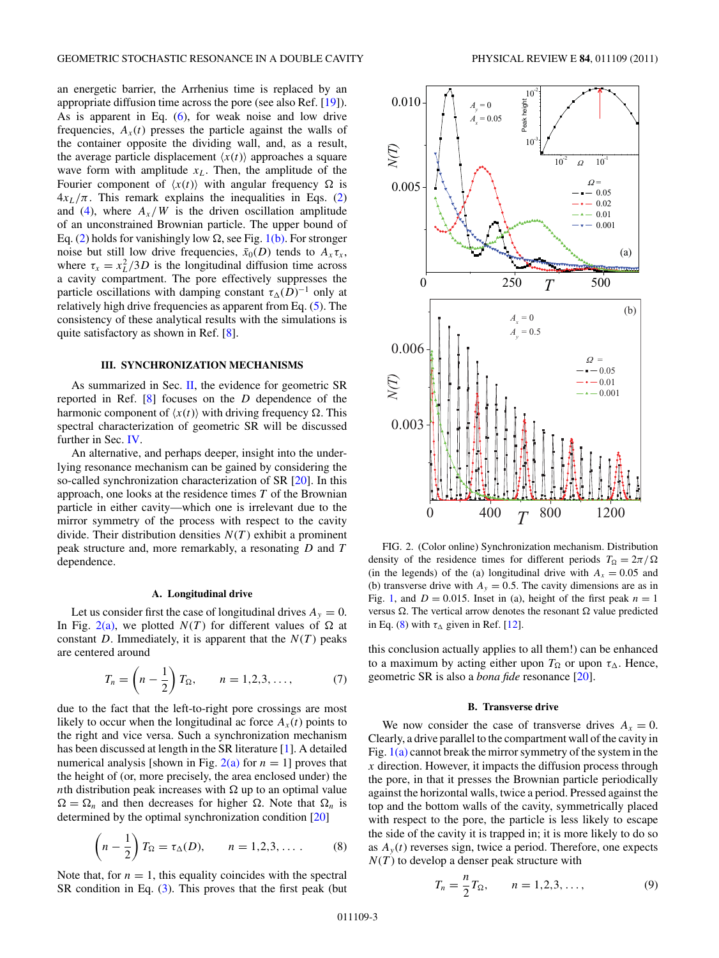<span id="page-2-0"></span>an energetic barrier, the Arrhenius time is replaced by an appropriate diffusion time across the pore (see also Ref. [\[19\]](#page-6-0)). As is apparent in Eq. [\(6\)](#page-1-0), for weak noise and low drive frequencies,  $A_x(t)$  presses the particle against the walls of the container opposite the dividing wall, and, as a result, the average particle displacement  $\langle x(t) \rangle$  approaches a square wave form with amplitude  $x_L$ . Then, the amplitude of the Fourier component of  $\langle x(t) \rangle$  with angular frequency  $\Omega$  is  $4x_L/\pi$ . This remark explains the inequalities in Eqs. [\(2\)](#page-1-0) and [\(4\)](#page-1-0), where  $A_x/W$  is the driven oscillation amplitude of an unconstrained Brownian particle. The upper bound of Eq. [\(2\)](#page-1-0) holds for vanishingly low  $\Omega$ , see Fig. [1\(b\).](#page-1-0) For stronger noise but still low drive frequencies,  $\bar{x}_0(D)$  tends to  $A_x \tau_x$ , where  $\tau_x = x_L^2/3D$  is the longitudinal diffusion time across a cavity compartment. The pore effectively suppresses the particle oscillations with damping constant  $\tau_{\Delta}(D)^{-1}$  only at relatively high drive frequencies as apparent from Eq. [\(5\)](#page-1-0). The consistency of these analytical results with the simulations is quite satisfactory as shown in Ref. [\[8\]](#page-5-0).

## **III. SYNCHRONIZATION MECHANISMS**

As summarized in Sec. [II,](#page-1-0) the evidence for geometric SR reported in Ref. [\[8\]](#page-5-0) focuses on the *D* dependence of the harmonic component of  $\langle x(t) \rangle$  with driving frequency  $\Omega$ . This spectral characterization of geometric SR will be discussed further in Sec. [IV.](#page-3-0)

An alternative, and perhaps deeper, insight into the underlying resonance mechanism can be gained by considering the so-called synchronization characterization of SR [\[20\]](#page-6-0). In this approach, one looks at the residence times *T* of the Brownian particle in either cavity—which one is irrelevant due to the mirror symmetry of the process with respect to the cavity divide. Their distribution densities  $N(T)$  exhibit a prominent peak structure and, more remarkably, a resonating *D* and *T* dependence.

#### **A. Longitudinal drive**

Let us consider first the case of longitudinal drives  $A_y = 0$ . In Fig. 2(a), we plotted  $N(T)$  for different values of  $\Omega$  at constant *D*. Immediately, it is apparent that the  $N(T)$  peaks are centered around

$$
T_n = \left(n - \frac{1}{2}\right) T_{\Omega}, \qquad n = 1, 2, 3, \dots,
$$
 (7)

due to the fact that the left-to-right pore crossings are most likely to occur when the longitudinal ac force  $A_x(t)$  points to the right and vice versa. Such a synchronization mechanism has been discussed at length in the SR literature [\[1\]](#page-5-0). A detailed numerical analysis [shown in Fig.  $2(a)$  for  $n = 1$ ] proves that the height of (or, more precisely, the area enclosed under) the *n*th distribution peak increases with  $\Omega$  up to an optimal value  $\Omega = \Omega_n$  and then decreases for higher  $\Omega$ . Note that  $\Omega_n$  is determined by the optimal synchronization condition [\[20\]](#page-6-0)

$$
\left(n - \frac{1}{2}\right) T_{\Omega} = \tau_{\Delta}(D), \qquad n = 1, 2, 3, ....
$$
 (8)

Note that, for  $n = 1$ , this equality coincides with the spectral SR condition in Eq. [\(3\)](#page-1-0). This proves that the first peak (but



FIG. 2. (Color online) Synchronization mechanism. Distribution density of the residence times for different periods  $T_{\Omega} = 2\pi/\Omega$ (in the legends) of the (a) longitudinal drive with  $A_x = 0.05$  and (b) transverse drive with  $A_y = 0.5$ . The cavity dimensions are as in Fig. [1,](#page-1-0) and  $D = 0.015$ . Inset in (a), height of the first peak  $n = 1$ versus  $\Omega$ . The vertical arrow denotes the resonant  $\Omega$  value predicted in Eq. (8) with  $\tau_{\Delta}$  given in Ref. [\[12\]](#page-6-0).

this conclusion actually applies to all them!) can be enhanced to a maximum by acting either upon  $T_{\Omega}$  or upon  $\tau_{\Delta}$ . Hence, geometric SR is also a *bona fide* resonance [\[20\]](#page-6-0).

#### **B. Transverse drive**

We now consider the case of transverse drives  $A_x = 0$ . Clearly, a drive parallel to the compartment wall of the cavity in Fig.  $1(a)$  cannot break the mirror symmetry of the system in the *x* direction. However, it impacts the diffusion process through the pore, in that it presses the Brownian particle periodically against the horizontal walls, twice a period. Pressed against the top and the bottom walls of the cavity, symmetrically placed with respect to the pore, the particle is less likely to escape the side of the cavity it is trapped in; it is more likely to do so as  $A_y(t)$  reverses sign, twice a period. Therefore, one expects  $N(T)$  to develop a denser peak structure with

$$
T_n = \frac{n}{2} T_{\Omega}, \qquad n = 1, 2, 3, \dots,
$$
 (9)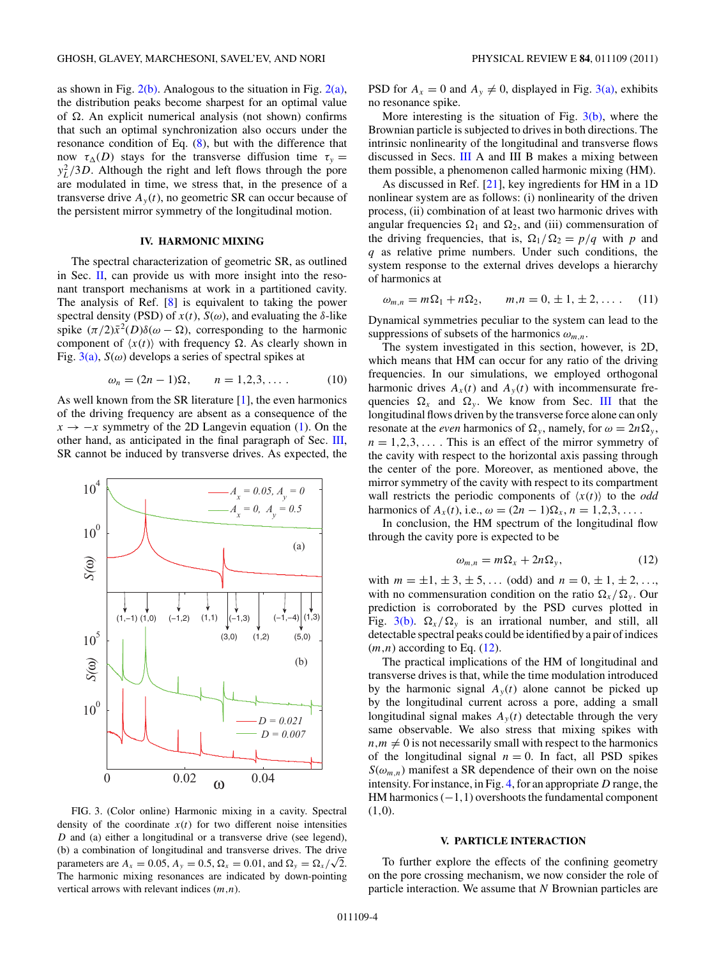<span id="page-3-0"></span>as shown in Fig.  $2(b)$ . Analogous to the situation in Fig.  $2(a)$ , the distribution peaks become sharpest for an optimal value of  $\Omega$ . An explicit numerical analysis (not shown) confirms that such an optimal synchronization also occurs under the resonance condition of Eq. [\(8\)](#page-2-0), but with the difference that now  $\tau_{\Delta}(D)$  stays for the transverse diffusion time  $\tau_y =$  $y_L^2/3D$ . Although the right and left flows through the pore are modulated in time, we stress that, in the presence of a transverse drive  $A_y(t)$ , no geometric SR can occur because of the persistent mirror symmetry of the longitudinal motion.

## **IV. HARMONIC MIXING**

The spectral characterization of geometric SR, as outlined in Sec. [II,](#page-1-0) can provide us with more insight into the resonant transport mechanisms at work in a partitioned cavity. The analysis of Ref. [\[8\]](#page-5-0) is equivalent to taking the power spectral density (PSD) of  $x(t)$ ,  $S(\omega)$ , and evaluating the  $\delta$ -like spike  $(\pi/2)\bar{x}^2(D)\delta(\omega-\Omega)$ , corresponding to the harmonic component of  $\langle x(t) \rangle$  with frequency  $\Omega$ . As clearly shown in Fig.  $3(a)$ ,  $S(\omega)$  develops a series of spectral spikes at

$$
\omega_n = (2n - 1)\Omega, \qquad n = 1, 2, 3, \dots \tag{10}
$$

As well known from the SR literature [\[1\]](#page-5-0), the even harmonics of the driving frequency are absent as a consequence of the  $x \rightarrow -x$  symmetry of the 2D Langevin equation [\(1\)](#page-1-0). On the other hand, as anticipated in the final paragraph of Sec. [III,](#page-2-0) SR cannot be induced by transverse drives. As expected, the



FIG. 3. (Color online) Harmonic mixing in a cavity. Spectral density of the coordinate  $x(t)$  for two different noise intensities *D* and (a) either a longitudinal or a transverse drive (see legend), (b) a combination of longitudinal and transverse drives. The drive parameters are  $A_x = 0.05$ ,  $A_y = 0.5$ ,  $\Omega_x = 0.01$ , and  $\Omega_y = \Omega_x / \sqrt{2}$ . The harmonic mixing resonances are indicated by down-pointing vertical arrows with relevant indices (*m,n*).

PSD for  $A_x = 0$  and  $A_y \neq 0$ , displayed in Fig. 3(a), exhibits no resonance spike.

More interesting is the situation of Fig.  $3(b)$ , where the Brownian particle is subjected to drives in both directions. The intrinsic nonlinearity of the longitudinal and transverse flows discussed in Secs. [III](#page-2-0) A and III B makes a mixing between them possible, a phenomenon called harmonic mixing (HM).

As discussed in Ref. [\[21\]](#page-6-0), key ingredients for HM in a 1D nonlinear system are as follows: (i) nonlinearity of the driven process, (ii) combination of at least two harmonic drives with angular frequencies  $\Omega_1$  and  $\Omega_2$ , and (iii) commensuration of the driving frequencies, that is,  $\Omega_1/\Omega_2 = p/q$  with *p* and *q* as relative prime numbers. Under such conditions, the system response to the external drives develops a hierarchy of harmonics at

$$
\omega_{m,n} = m\Omega_1 + n\Omega_2, \qquad m,n = 0, \pm 1, \pm 2, \dots. \tag{11}
$$

Dynamical symmetries peculiar to the system can lead to the suppressions of subsets of the harmonics  $\omega_{m,n}$ .

The system investigated in this section, however, is 2D, which means that HM can occur for any ratio of the driving frequencies. In our simulations, we employed orthogonal harmonic drives  $A_x(t)$  and  $A_y(t)$  with incommensurate frequencies  $\Omega_x$  and  $\Omega_y$ . We know from Sec. [III](#page-2-0) that the longitudinal flows driven by the transverse force alone can only resonate at the *even* harmonics of  $\Omega_{v}$ , namely, for  $\omega = 2n\Omega_{v}$ ,  $n = 1, 2, 3, \ldots$ . This is an effect of the mirror symmetry of the cavity with respect to the horizontal axis passing through the center of the pore. Moreover, as mentioned above, the mirror symmetry of the cavity with respect to its compartment wall restricts the periodic components of  $\langle x(t) \rangle$  to the *odd* harmonics of  $A_x(t)$ , i.e.,  $\omega = (2n - 1)\Omega_x$ ,  $n = 1, 2, 3, \ldots$ .

In conclusion, the HM spectrum of the longitudinal flow through the cavity pore is expected to be

$$
\omega_{m,n} = m\Omega_x + 2n\Omega_y, \tag{12}
$$

with  $m = \pm 1, \pm 3, \pm 5, \ldots$  (odd) and  $n = 0, \pm 1, \pm 2, \ldots$ with no commensuration condition on the ratio  $\Omega_{x}/\Omega_{y}$ . Our prediction is corroborated by the PSD curves plotted in Fig. 3(b).  $\Omega_x/\Omega_y$  is an irrational number, and still, all detectable spectral peaks could be identified by a pair of indices  $(m, n)$  according to Eq.  $(12)$ .

The practical implications of the HM of longitudinal and transverse drives is that, while the time modulation introduced by the harmonic signal  $A_y(t)$  alone cannot be picked up by the longitudinal current across a pore, adding a small longitudinal signal makes  $A_y(t)$  detectable through the very same observable. We also stress that mixing spikes with  $n,m \neq 0$  is not necessarily small with respect to the harmonics of the longitudinal signal  $n = 0$ . In fact, all PSD spikes  $S(\omega_{m,n})$  manifest a SR dependence of their own on the noise intensity. For instance, in Fig. [4,](#page-4-0) for an appropriate *D* range, the HM harmonics (−1*,*1) overshoots the fundamental component (1*,*0).

### **V. PARTICLE INTERACTION**

To further explore the effects of the confining geometry on the pore crossing mechanism, we now consider the role of particle interaction. We assume that *N* Brownian particles are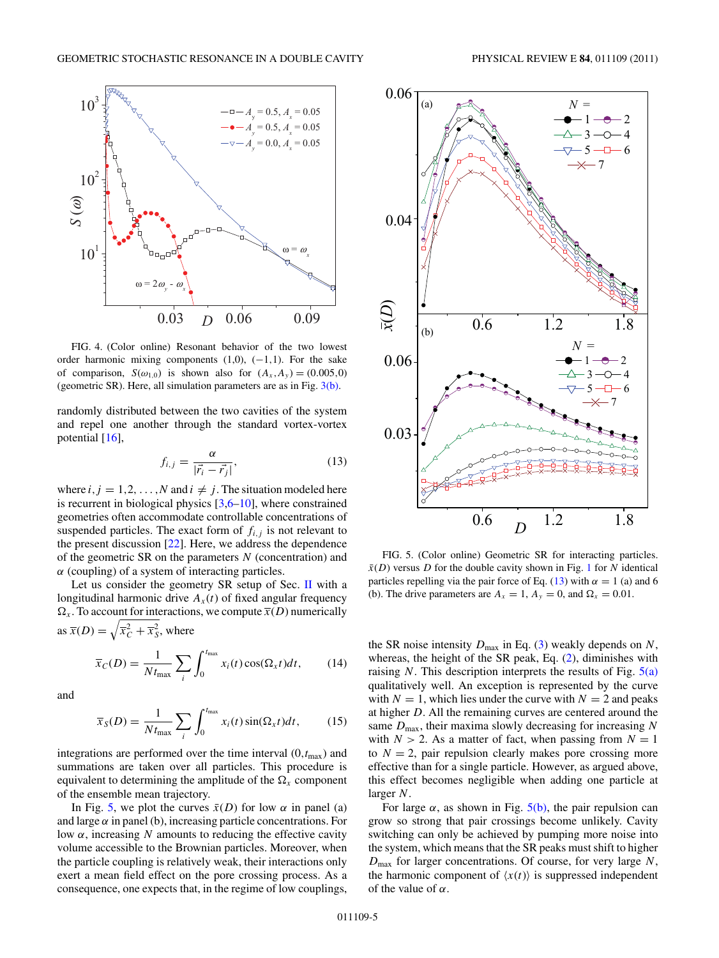<span id="page-4-0"></span>

FIG. 4. (Color online) Resonant behavior of the two lowest order harmonic mixing components (1,0), (−1*,*1). For the sake of comparison,  $S(\omega_{1,0})$  is shown also for  $(A_x, A_y) = (0.005,0)$ (geometric SR). Here, all simulation parameters are as in Fig. [3\(b\).](#page-3-0)

randomly distributed between the two cavities of the system and repel one another through the standard vortex-vortex potential [\[16\]](#page-6-0),

$$
f_{i,j} = \frac{\alpha}{|\vec{r}_i - \vec{r}_j|},\tag{13}
$$

where  $i, j = 1, 2, \ldots, N$  and  $i \neq j$ . The situation modeled here is recurrent in biological physics  $[3,6–10]$ , where constrained geometries often accommodate controllable concentrations of suspended particles. The exact form of  $f_{i,j}$  is not relevant to the present discussion [\[22\]](#page-6-0). Here, we address the dependence of the geometric SR on the parameters *N* (concentration) and *α* (coupling) of a system of interacting particles.

Let us consider the geometry SR setup of Sec. [II](#page-1-0) with a longitudinal harmonic drive  $A_x(t)$  of fixed angular frequency  $\Omega_x$ . To account for interactions, we compute  $\overline{x}(D)$  numerically as  $\overline{x}(D) = \sqrt{\overline{x}_C^2 + \overline{x}_S^2}$ , where

$$
\overline{x}_C(D) = \frac{1}{Nt_{\text{max}}} \sum_i \int_0^{t_{\text{max}}} x_i(t) \cos(\Omega_x t) dt, \qquad (14)
$$

and

$$
\overline{x}_{S}(D) = \frac{1}{N t_{\text{max}}} \sum_{i} \int_{0}^{t_{\text{max}}} x_{i}(t) \sin(\Omega_{x} t) dt, \qquad (15)
$$

integrations are performed over the time interval (0*,t*max) and summations are taken over all particles. This procedure is equivalent to determining the amplitude of the  $\Omega_x$  component of the ensemble mean trajectory.

In Fig. 5, we plot the curves  $\bar{x}(D)$  for low  $\alpha$  in panel (a) and large  $\alpha$  in panel (b), increasing particle concentrations. For low *α*, increasing *N* amounts to reducing the effective cavity volume accessible to the Brownian particles. Moreover, when the particle coupling is relatively weak, their interactions only exert a mean field effect on the pore crossing process. As a consequence, one expects that, in the regime of low couplings,



FIG. 5. (Color online) Geometric SR for interacting particles.  $\bar{x}(D)$  versus *D* for the double cavity shown in Fig. [1](#page-1-0) for *N* identical particles repelling via the pair force of Eq. (13) with  $\alpha = 1$  (a) and 6 (b). The drive parameters are  $A_x = 1$ ,  $A_y = 0$ , and  $\Omega_x = 0.01$ .

the SR noise intensity  $D_{\text{max}}$  in Eq. [\(3\)](#page-1-0) weakly depends on *N*, whereas, the height of the SR peak, Eq. [\(2\)](#page-1-0), diminishes with raising *N*. This description interprets the results of Fig.  $5(a)$ qualitatively well. An exception is represented by the curve with  $N = 1$ , which lies under the curve with  $N = 2$  and peaks at higher *D*. All the remaining curves are centered around the same *D*max, their maxima slowly decreasing for increasing *N* with  $N > 2$ . As a matter of fact, when passing from  $N = 1$ to  $N = 2$ , pair repulsion clearly makes pore crossing more effective than for a single particle. However, as argued above, this effect becomes negligible when adding one particle at larger *N*.

For large  $\alpha$ , as shown in Fig. 5(b), the pair repulsion can grow so strong that pair crossings become unlikely. Cavity switching can only be achieved by pumping more noise into the system, which means that the SR peaks must shift to higher *D*max for larger concentrations. Of course, for very large *N*, the harmonic component of  $\langle x(t) \rangle$  is suppressed independent of the value of *α*.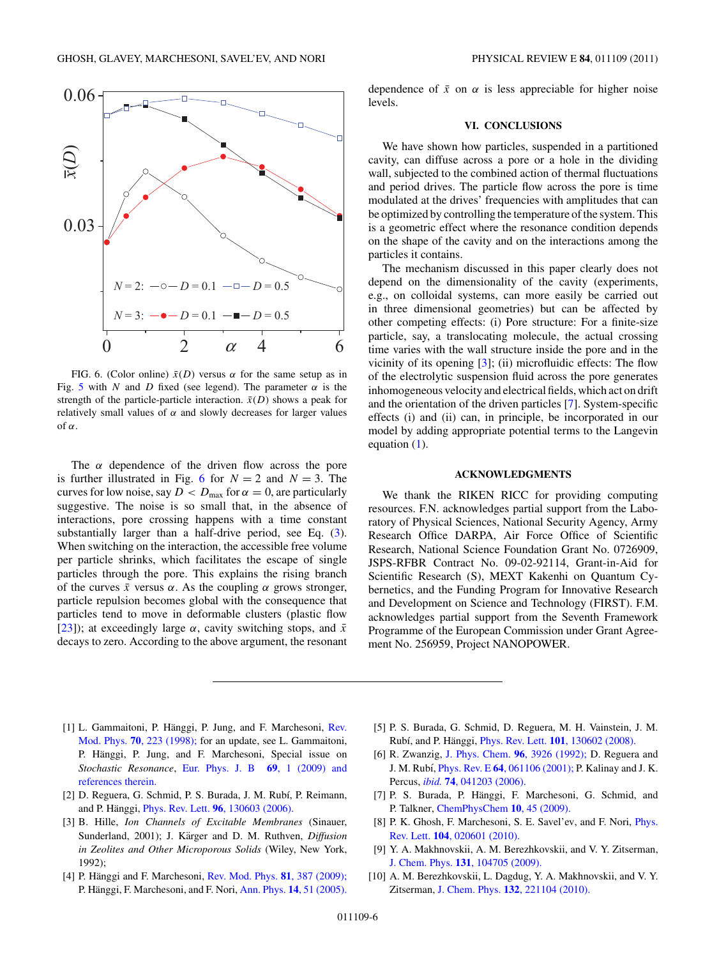<span id="page-5-0"></span>

FIG. 6. (Color online)  $\bar{x}(D)$  versus  $\alpha$  for the same setup as in Fig. [5](#page-4-0) with *N* and *D* fixed (see legend). The parameter  $\alpha$  is the strength of the particle-particle interaction.  $\bar{x}(D)$  shows a peak for relatively small values of  $\alpha$  and slowly decreases for larger values of *α*.

The  $\alpha$  dependence of the driven flow across the pore is further illustrated in Fig. 6 for  $N = 2$  and  $N = 3$ . The curves for low noise, say  $D < D<sub>max</sub>$  for  $\alpha = 0$ , are particularly suggestive. The noise is so small that, in the absence of interactions, pore crossing happens with a time constant substantially larger than a half-drive period, see Eq. [\(3\)](#page-1-0). When switching on the interaction, the accessible free volume per particle shrinks, which facilitates the escape of single particles through the pore. This explains the rising branch of the curves  $\bar{x}$  versus  $\alpha$ . As the coupling  $\alpha$  grows stronger, particle repulsion becomes global with the consequence that particles tend to move in deformable clusters (plastic flow [\[23\]](#page-6-0)); at exceedingly large  $\alpha$ , cavity switching stops, and  $\bar{x}$ decays to zero. According to the above argument, the resonant

dependence of  $\bar{x}$  on  $\alpha$  is less appreciable for higher noise levels.

## **VI. CONCLUSIONS**

We have shown how particles, suspended in a partitioned cavity, can diffuse across a pore or a hole in the dividing wall, subjected to the combined action of thermal fluctuations and period drives. The particle flow across the pore is time modulated at the drives' frequencies with amplitudes that can be optimized by controlling the temperature of the system. This is a geometric effect where the resonance condition depends on the shape of the cavity and on the interactions among the particles it contains.

The mechanism discussed in this paper clearly does not depend on the dimensionality of the cavity (experiments, e.g., on colloidal systems, can more easily be carried out in three dimensional geometries) but can be affected by other competing effects: (i) Pore structure: For a finite-size particle, say, a translocating molecule, the actual crossing time varies with the wall structure inside the pore and in the vicinity of its opening  $[3]$ ; (ii) microfluidic effects: The flow of the electrolytic suspension fluid across the pore generates inhomogeneous velocity and electrical fields, which act on drift and the orientation of the driven particles [7]. System-specific effects (i) and (ii) can, in principle, be incorporated in our model by adding appropriate potential terms to the Langevin equation [\(1\)](#page-1-0).

#### **ACKNOWLEDGMENTS**

We thank the RIKEN RICC for providing computing resources. F.N. acknowledges partial support from the Laboratory of Physical Sciences, National Security Agency, Army Research Office DARPA, Air Force Office of Scientific Research, National Science Foundation Grant No. 0726909, JSPS-RFBR Contract No. 09-02-92114, Grant-in-Aid for Scientific Research (S), MEXT Kakenhi on Quantum Cybernetics, and the Funding Program for Innovative Research and Development on Science and Technology (FIRST). F.M. acknowledges partial support from the Seventh Framework Programme of the European Commission under Grant Agreement No. 256959, Project NANOPOWER.

- [1] L. Gammaitoni, P. Hänggi, P. Jung, and F. Marchesoni, [Rev.](http://dx.doi.org/10.1103/RevModPhys.70.223) Mod. Phys. **70**[, 223 \(1998\);](http://dx.doi.org/10.1103/RevModPhys.70.223) for an update, see L. Gammaitoni, P. Hänggi, P. Jung, and F. Marchesoni, Special issue on *Stochastic Resonance*, [Eur. Phys. J. B](http://dx.doi.org/10.1140/epjb/e2009-00163-x) **69**, 1 (2009) and [references therein.](http://dx.doi.org/10.1140/epjb/e2009-00163-x)
- [2] D. Reguera, G. Schmid, P. S. Burada, J. M. Rubí, P. Reimann, and P. Hänggi, *Phys. Rev. Lett.* **96**[, 130603 \(2006\).](http://dx.doi.org/10.1103/PhysRevLett.96.130603)
- [3] B. Hille, *Ion Channels of Excitable Membranes* (Sinauer, Sunderland, 2001); J. Kärger and D. M. Ruthven, *Diffusion in Zeolites and Other Microporous Solids* (Wiley, New York, 1992);
- [4] P. Hänggi and F. Marchesoni, [Rev. Mod. Phys.](http://dx.doi.org/10.1103/RevModPhys.81.387) **81**, 387 (2009); P. Hänggi, F. Marchesoni, and F. Nori, *Ann. Phys.* **14**[, 51 \(2005\).](http://dx.doi.org/10.1002/andp.200410121)
- [5] P. S. Burada, G. Schmid, D. Reguera, M. H. Vainstein, J. M. Rubí, and P. Hänggi, *Phys. Rev. Lett.* **101**[, 130602 \(2008\).](http://dx.doi.org/10.1103/PhysRevLett.101.130602)
- [6] R. Zwanzig, [J. Phys. Chem.](http://dx.doi.org/10.1021/j100189a004) **96**, 3926 (1992); D. Reguera and J. M. Rubí, *Phys. Rev. E* 64[, 061106 \(2001\);](http://dx.doi.org/10.1103/PhysRevE.64.061106) P. Kalinay and J. K. Percus, *ibid.* **74**[, 041203 \(2006\).](http://dx.doi.org/10.1103/PhysRevE.74.041203)
- [7] P. S. Burada, P. Hänggi, F. Marchesoni, G. Schmid, and P. Talkner, [ChemPhysChem](http://dx.doi.org/10.1002/cphc.200800526) **10**, 45 (2009).
- [8] P. K. Ghosh, F. Marchesoni, S. E. Savel'ev, and F. Nori, [Phys.](http://dx.doi.org/10.1103/PhysRevLett.104.020601) Rev. Lett. **104**[, 020601 \(2010\).](http://dx.doi.org/10.1103/PhysRevLett.104.020601)
- [9] Y. A. Makhnovskii, A. M. Berezhkovskii, and V. Y. Zitserman, J. Chem. Phys. **131**[, 104705 \(2009\).](http://dx.doi.org/10.1063/1.3224954)
- [10] A. M. Berezhkovskii, L. Dagdug, Y. A. Makhnovskii, and V. Y. Zitserman, J. Chem. Phys. **132**[, 221104 \(2010\).](http://dx.doi.org/10.1063/1.3451115)